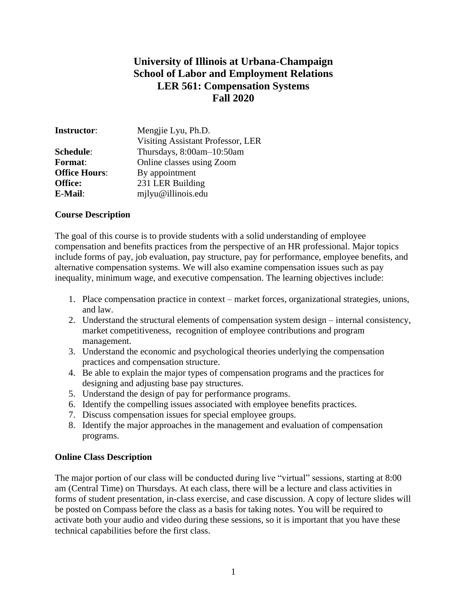# **University of Illinois at Urbana-Champaign School of Labor and Employment Relations LER 561: Compensation Systems Fall 2020**

| <b>Instructor:</b>   | Mengjie Lyu, Ph.D.                |
|----------------------|-----------------------------------|
|                      | Visiting Assistant Professor, LER |
| Schedule:            | Thursdays, 8:00am-10:50am         |
| <b>Format:</b>       | Online classes using Zoom         |
| <b>Office Hours:</b> | By appointment                    |
| <b>Office:</b>       | 231 LER Building                  |
| E-Mail:              | mjlyu@illinois.edu                |

## **Course Description**

The goal of this course is to provide students with a solid understanding of employee compensation and benefits practices from the perspective of an HR professional. Major topics include forms of pay, job evaluation, pay structure, pay for performance, employee benefits, and alternative compensation systems. We will also examine compensation issues such as pay inequality, minimum wage, and executive compensation. The learning objectives include:

- 1. Place compensation practice in context market forces, organizational strategies, unions, and law.
- 2. Understand the structural elements of compensation system design internal consistency, market competitiveness, recognition of employee contributions and program management.
- 3. Understand the economic and psychological theories underlying the compensation practices and compensation structure.
- 4. Be able to explain the major types of compensation programs and the practices for designing and adjusting base pay structures.
- 5. Understand the design of pay for performance programs.
- 6. Identify the compelling issues associated with employee benefits practices.
- 7. Discuss compensation issues for special employee groups.
- 8. Identify the major approaches in the management and evaluation of compensation programs.

#### **Online Class Description**

The major portion of our class will be conducted during live "virtual" sessions, starting at 8:00 am (Central Time) on Thursdays. At each class, there will be a lecture and class activities in forms of student presentation, in-class exercise, and case discussion. A copy of lecture slides will be posted on Compass before the class as a basis for taking notes. You will be required to activate both your audio and video during these sessions, so it is important that you have these technical capabilities before the first class.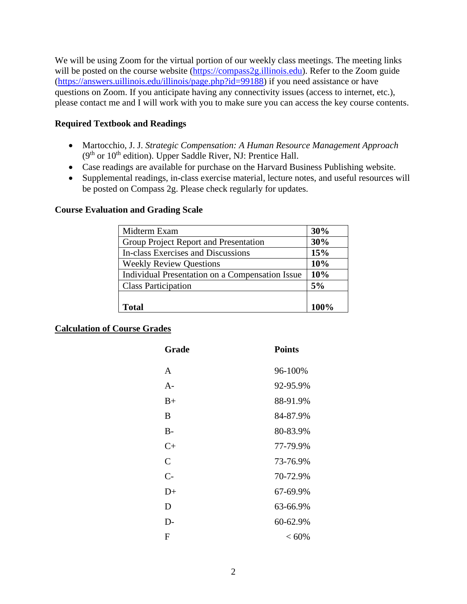We will be using Zoom for the virtual portion of our weekly class meetings. The meeting links will be posted on the course website [\(https://compass2g.illinois.edu\)](https://compass2g.illinois.edu/). Refer to the Zoom guide [\(https://answers.uillinois.edu/illinois/page.php?id=99188\)](https://answers.uillinois.edu/illinois/page.php?id=99188) if you need assistance or have questions on Zoom. If you anticipate having any connectivity issues (access to internet, etc.), please contact me and I will work with you to make sure you can access the key course contents.

## **Required Textbook and Readings**

- Martocchio, J. J. *Strategic Compensation: A Human Resource Management Approach*  (9<sup>th</sup> or 10<sup>th</sup> edition). Upper Saddle River, NJ: Prentice Hall.
- Case readings are available for purchase on the Harvard Business Publishing website.
- Supplemental readings, in-class exercise material, lecture notes, and useful resources will be posted on Compass 2g. Please check regularly for updates.

## **Course Evaluation and Grading Scale**

| Midterm Exam                                    | 30%  |
|-------------------------------------------------|------|
| Group Project Report and Presentation           | 30%  |
| In-class Exercises and Discussions              | 15%  |
| <b>Weekly Review Questions</b>                  | 10%  |
| Individual Presentation on a Compensation Issue | 10%  |
| <b>Class Participation</b>                      | 5%   |
|                                                 |      |
| <b>Total</b>                                    | 100% |

# **Calculation of Course Grades**

| Grade          | <b>Points</b> |
|----------------|---------------|
| A              | 96-100%       |
| $A -$          | 92-95.9%      |
| $B+$           | 88-91.9%      |
| B              | 84-87.9%      |
| $B-$           | 80-83.9%      |
| $C_{\pm}$      | 77-79.9%      |
| $\overline{C}$ | 73-76.9%      |
| $C-$           | 70-72.9%      |
| $D+$           | 67-69.9%      |
| D              | 63-66.9%      |
| D-             | 60-62.9%      |
| F              | $< 60\%$      |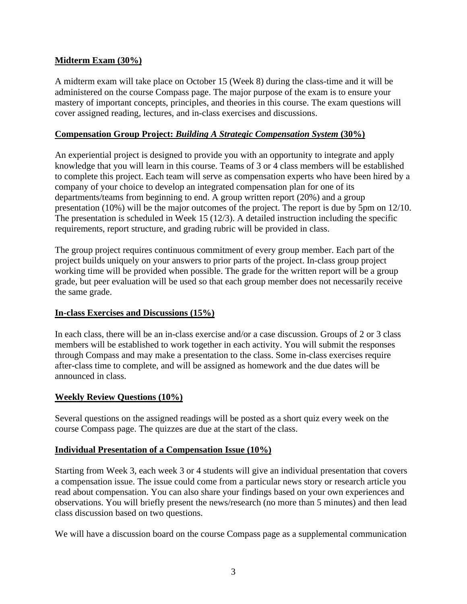# **Midterm Exam (30%)**

A midterm exam will take place on October 15 (Week 8) during the class-time and it will be administered on the course Compass page. The major purpose of the exam is to ensure your mastery of important concepts, principles, and theories in this course. The exam questions will cover assigned reading, lectures, and in-class exercises and discussions.

#### **Compensation Group Project:** *Building A Strategic Compensation System* **(30%)**

An experiential project is designed to provide you with an opportunity to integrate and apply knowledge that you will learn in this course. Teams of 3 or 4 class members will be established to complete this project. Each team will serve as compensation experts who have been hired by a company of your choice to develop an integrated compensation plan for one of its departments/teams from beginning to end. A group written report (20%) and a group presentation (10%) will be the major outcomes of the project. The report is due by 5pm on 12/10. The presentation is scheduled in Week 15 (12/3). A detailed instruction including the specific requirements, report structure, and grading rubric will be provided in class.

The group project requires continuous commitment of every group member. Each part of the project builds uniquely on your answers to prior parts of the project. In-class group project working time will be provided when possible. The grade for the written report will be a group grade, but peer evaluation will be used so that each group member does not necessarily receive the same grade.

#### **In-class Exercises and Discussions (15%)**

In each class, there will be an in-class exercise and/or a case discussion. Groups of 2 or 3 class members will be established to work together in each activity. You will submit the responses through Compass and may make a presentation to the class. Some in-class exercises require after-class time to complete, and will be assigned as homework and the due dates will be announced in class.

#### **Weekly Review Questions (10%)**

Several questions on the assigned readings will be posted as a short quiz every week on the course Compass page. The quizzes are due at the start of the class.

#### **Individual Presentation of a Compensation Issue (10%)**

Starting from Week 3, each week 3 or 4 students will give an individual presentation that covers a compensation issue. The issue could come from a particular news story or research article you read about compensation. You can also share your findings based on your own experiences and observations. You will briefly present the news/research (no more than 5 minutes) and then lead class discussion based on two questions.

We will have a discussion board on the course Compass page as a supplemental communication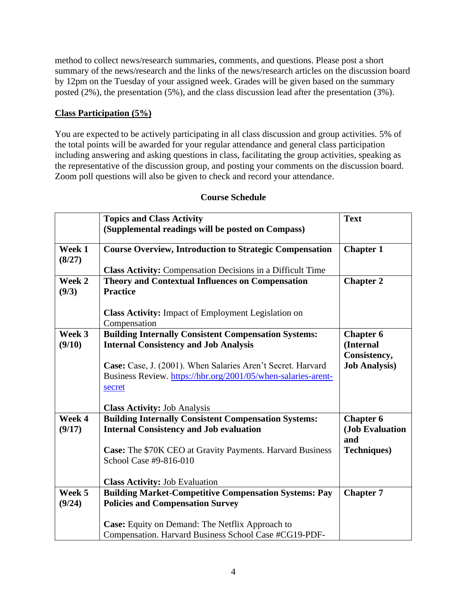method to collect news/research summaries, comments, and questions. Please post a short summary of the news/research and the links of the news/research articles on the discussion board by 12pm on the Tuesday of your assigned week. Grades will be given based on the summary posted (2%), the presentation (5%), and the class discussion lead after the presentation (3%).

# **Class Participation (5%)**

You are expected to be actively participating in all class discussion and group activities. 5% of the total points will be awarded for your regular attendance and general class participation including answering and asking questions in class, facilitating the group activities, speaking as the representative of the discussion group, and posting your comments on the discussion board. Zoom poll questions will also be given to check and record your attendance.

|                  | <b>Topics and Class Activity</b>                                                                                                                                                                                                                      | <b>Text</b>                                                           |
|------------------|-------------------------------------------------------------------------------------------------------------------------------------------------------------------------------------------------------------------------------------------------------|-----------------------------------------------------------------------|
|                  | (Supplemental readings will be posted on Compass)                                                                                                                                                                                                     |                                                                       |
| Week 1<br>(8/27) | <b>Course Overview, Introduction to Strategic Compensation</b>                                                                                                                                                                                        | <b>Chapter 1</b>                                                      |
|                  | <b>Class Activity:</b> Compensation Decisions in a Difficult Time                                                                                                                                                                                     |                                                                       |
| Week 2<br>(9/3)  | <b>Theory and Contextual Influences on Compensation</b><br><b>Practice</b>                                                                                                                                                                            | <b>Chapter 2</b>                                                      |
|                  | <b>Class Activity:</b> Impact of Employment Legislation on<br>Compensation                                                                                                                                                                            |                                                                       |
| Week 3<br>(9/10) | <b>Building Internally Consistent Compensation Systems:</b><br><b>Internal Consistency and Job Analysis</b><br>Case: Case, J. (2001). When Salaries Aren't Secret. Harvard<br>Business Review. https://hbr.org/2001/05/when-salaries-arent-<br>secret | <b>Chapter 6</b><br>(Internal<br>Consistency,<br><b>Job Analysis)</b> |
|                  | <b>Class Activity: Job Analysis</b>                                                                                                                                                                                                                   |                                                                       |
| Week 4<br>(9/17) | <b>Building Internally Consistent Compensation Systems:</b><br><b>Internal Consistency and Job evaluation</b><br><b>Case:</b> The \$70K CEO at Gravity Payments. Harvard Business<br>School Case #9-816-010                                           | <b>Chapter 6</b><br>(Job Evaluation<br>and<br><b>Techniques</b> )     |
|                  | <b>Class Activity: Job Evaluation</b>                                                                                                                                                                                                                 |                                                                       |
| Week 5<br>(9/24) | <b>Building Market-Competitive Compensation Systems: Pay</b><br><b>Policies and Compensation Survey</b>                                                                                                                                               | <b>Chapter 7</b>                                                      |
|                  | Case: Equity on Demand: The Netflix Approach to<br>Compensation. Harvard Business School Case #CG19-PDF-                                                                                                                                              |                                                                       |

# **Course Schedule**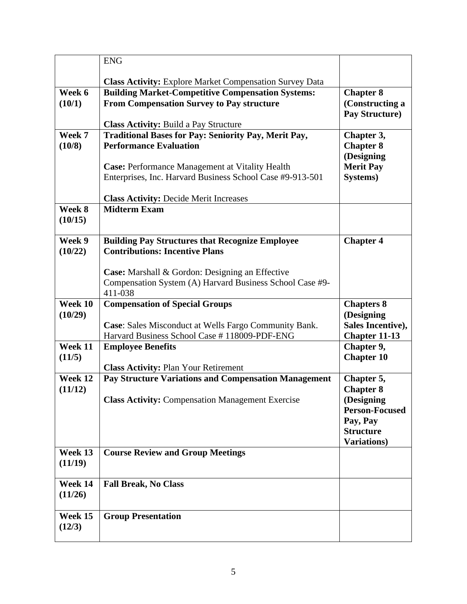|         | <b>ENG</b>                                                                                                   |                                     |
|---------|--------------------------------------------------------------------------------------------------------------|-------------------------------------|
|         |                                                                                                              |                                     |
|         | <b>Class Activity:</b> Explore Market Compensation Survey Data                                               |                                     |
| Week 6  | <b>Building Market-Competitive Compensation Systems:</b>                                                     | <b>Chapter 8</b>                    |
| (10/1)  | <b>From Compensation Survey to Pay structure</b>                                                             | (Constructing a                     |
|         |                                                                                                              | Pay Structure)                      |
| Week 7  | <b>Class Activity: Build a Pay Structure</b>                                                                 |                                     |
| (10/8)  | <b>Traditional Bases for Pay: Seniority Pay, Merit Pay,</b><br><b>Performance Evaluation</b>                 | Chapter 3,<br><b>Chapter 8</b>      |
|         |                                                                                                              | (Designing                          |
|         | Case: Performance Management at Vitality Health                                                              | <b>Merit Pay</b>                    |
|         | Enterprises, Inc. Harvard Business School Case #9-913-501                                                    | Systems)                            |
|         |                                                                                                              |                                     |
|         | <b>Class Activity: Decide Merit Increases</b>                                                                |                                     |
| Week 8  | <b>Midterm Exam</b>                                                                                          |                                     |
| (10/15) |                                                                                                              |                                     |
|         |                                                                                                              |                                     |
| Week 9  | <b>Building Pay Structures that Recognize Employee</b>                                                       | <b>Chapter 4</b>                    |
| (10/22) | <b>Contributions: Incentive Plans</b>                                                                        |                                     |
|         |                                                                                                              |                                     |
|         | <b>Case:</b> Marshall & Gordon: Designing an Effective                                                       |                                     |
|         | Compensation System (A) Harvard Business School Case #9-                                                     |                                     |
| Week 10 | 411-038                                                                                                      |                                     |
|         | <b>Compensation of Special Groups</b>                                                                        | <b>Chapters 8</b>                   |
| (10/29) |                                                                                                              | (Designing<br>Sales Incentive),     |
|         | <b>Case:</b> Sales Misconduct at Wells Fargo Community Bank.<br>Harvard Business School Case #118009-PDF-ENG | <b>Chapter 11-13</b>                |
| Week 11 | <b>Employee Benefits</b>                                                                                     | Chapter 9,                          |
| (11/5)  |                                                                                                              | <b>Chapter 10</b>                   |
|         | <b>Class Activity: Plan Your Retirement</b>                                                                  |                                     |
|         |                                                                                                              |                                     |
|         |                                                                                                              |                                     |
| Week 12 | <b>Pay Structure Variations and Compensation Management</b>                                                  | Chapter 5,                          |
| (11/12) |                                                                                                              | <b>Chapter 8</b>                    |
|         | <b>Class Activity: Compensation Management Exercise</b>                                                      | (Designing<br><b>Person-Focused</b> |
|         |                                                                                                              |                                     |
|         |                                                                                                              | Pay, Pay<br><b>Structure</b>        |
|         |                                                                                                              | Variations)                         |
| Week 13 | <b>Course Review and Group Meetings</b>                                                                      |                                     |
| (11/19) |                                                                                                              |                                     |
|         |                                                                                                              |                                     |
| Week 14 | <b>Fall Break, No Class</b>                                                                                  |                                     |
| (11/26) |                                                                                                              |                                     |
|         |                                                                                                              |                                     |
| Week 15 | <b>Group Presentation</b>                                                                                    |                                     |
| (12/3)  |                                                                                                              |                                     |